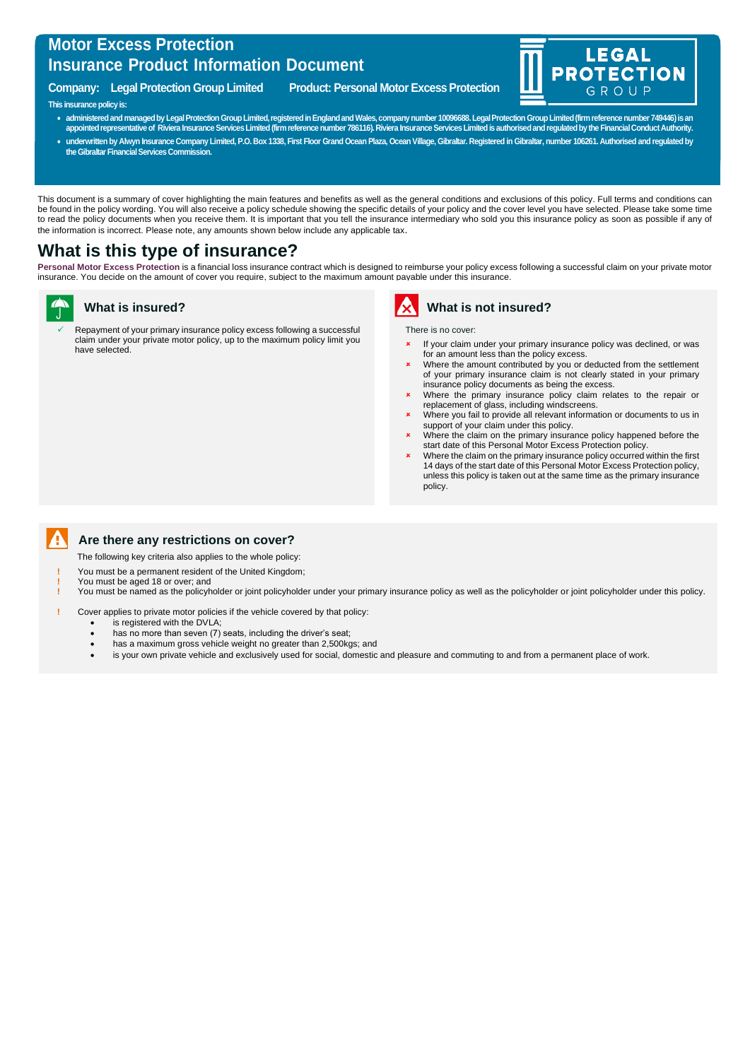## **Motor Excess Protection Insurance Product Information Document**

**Company: Legal Protection Group Limited Product: Personal Motor Excess Protection**





**appointed representative of Riviera InsuranceServices Limited (firm reference number 786116). Riviera Insurance Services Limited is authorised and regulated by the Financial Conduct Authority.** • **underwritten by Alwyn Insurance Company Limited, P.O. Box 1338, First Floor Grand Ocean Plaza, Ocean Village, Gibraltar. Registered in Gibraltar, number 106261. Authorised and regulated by the Gibraltar Financial Services Commission.**

This document is a summary of cover highlighting the main features and benefits as well as the general conditions and exclusions of this policy. Full terms and conditions can be found in the policy wording. You will also receive a policy schedule showing the specific details of your policy and the cover level you have selected. Please take some time to read the policy documents when you receive them. It is important that you tell the insurance intermediary who sold you this insurance policy as soon as possible if any of the information is incorrect. Please note, any amounts shown below include any applicable tax.

# **What is this type of insurance?**

Personal Motor Excess Protection is a financial loss insurance contract which is designed to reimburse your policy excess following a successful claim on your private motor insurance. You decide on the amount of cover you require, subject to the maximum amount payable under this insurance.

#### **What is insured?**

Repayment of your primary insurance policy excess following a successful claim under your private motor policy, up to the maximum policy limit you have selected.



**What is not insured?**

There is no cover:

 If your claim under your primary insurance policy was declined, or was for an amount less than the policy excess.

**LEGAL** 

GROUP

**ECTION** 

**PROT** 

- **\*** Where the amount contributed by you or deducted from the settlement of your primary insurance claim is not clearly stated in your primary insurance policy documents as being the excess.
- Where the primary insurance policy claim relates to the repair or replacement of glass, including windscreens.
- Where you fail to provide all relevant information or documents to us in support of your claim under this policy.
- Where the claim on the primary insurance policy happened before the start date of this Personal Motor Excess Protection policy.
- Where the claim on the primary insurance policy occurred within the first 14 days of the start date of this Personal Motor Excess Protection policy, unless this policy is taken out at the same time as the primary insurance policy.



### **Are there any restrictions on cover?**

The following key criteria also applies to the whole policy:

- **!** You must be a permanent resident of the United Kingdom;
- **!** You must be aged 18 or over; and

**!** You must be named as the policyholder or joint policyholder under your primary insurance policy as well as the policyholder or joint policyholder under this policy.

**!** Cover applies to private motor policies if the vehicle covered by that policy:

- is registered with the DVLA;
- has no more than seven (7) seats, including the driver's seat;
- has a maximum gross vehicle weight no greater than 2,500kgs; and
- is your own private vehicle and exclusively used for social, domestic and pleasure and commuting to and from a permanent place of work.